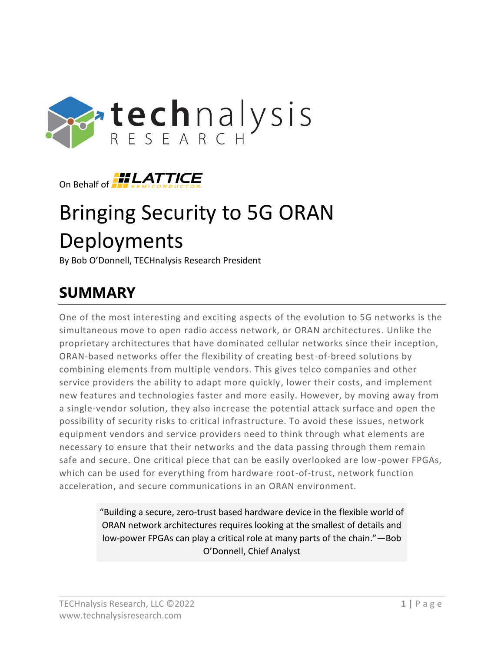



# Bringing Security to 5G ORAN Deployments

By Bob O'Donnell, TECHnalysis Research President

# **SUMMARY**

One of the most interesting and exciting aspects of the evolution to 5G networks is the simultaneous move to open radio access network, or ORAN architectures. Unlike the proprietary architectures that have dominated cellular networks since their inception, ORAN-based networks offer the flexibility of creating best-of-breed solutions by combining elements from multiple vendors. This gives telco companies and other service providers the ability to adapt more quickly, lower their costs, and implement new features and technologies faster and more easily. However, by moving away from a single-vendor solution, they also increase the potential attack surface and open the possibility of security risks to critical infrastructure. To avoid these issues, network equipment vendors and service providers need to think through what elements are necessary to ensure that their networks and the data passing through them remain safe and secure. One critical piece that can be easily overlooked are low-power FPGAs, which can be used for everything from hardware root-of-trust, network function acceleration, and secure communications in an ORAN environment.

> "Building a secure, zero-trust based hardware device in the flexible world of ORAN network architectures requires looking at the smallest of details and low-power FPGAs can play a critical role at many parts of the chain."—Bob O'Donnell, Chief Analyst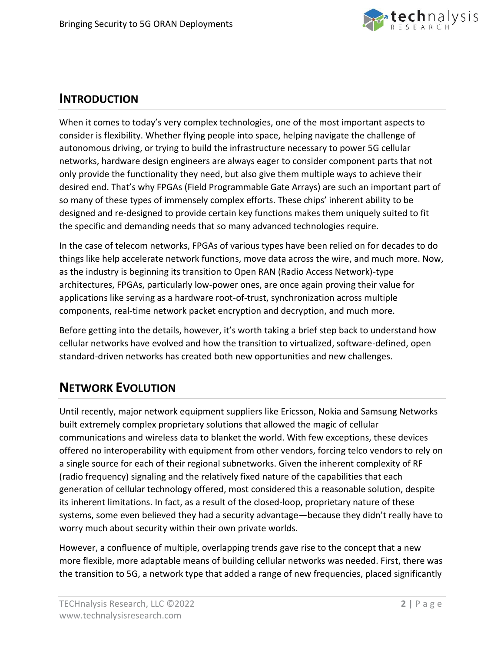

#### **INTRODUCTION**

When it comes to today's very complex technologies, one of the most important aspects to consider is flexibility. Whether flying people into space, helping navigate the challenge of autonomous driving, or trying to build the infrastructure necessary to power 5G cellular networks, hardware design engineers are always eager to consider component parts that not only provide the functionality they need, but also give them multiple ways to achieve their desired end. That's why FPGAs (Field Programmable Gate Arrays) are such an important part of so many of these types of immensely complex efforts. These chips' inherent ability to be designed and re-designed to provide certain key functions makes them uniquely suited to fit the specific and demanding needs that so many advanced technologies require.

In the case of telecom networks, FPGAs of various types have been relied on for decades to do things like help accelerate network functions, move data across the wire, and much more. Now, as the industry is beginning its transition to Open RAN (Radio Access Network)-type architectures, FPGAs, particularly low-power ones, are once again proving their value for applications like serving as a hardware root-of-trust, synchronization across multiple components, real-time network packet encryption and decryption, and much more.

Before getting into the details, however, it's worth taking a brief step back to understand how cellular networks have evolved and how the transition to virtualized, software-defined, open standard-driven networks has created both new opportunities and new challenges.

# **NETWORK EVOLUTION**

Until recently, major network equipment suppliers like Ericsson, Nokia and Samsung Networks built extremely complex proprietary solutions that allowed the magic of cellular communications and wireless data to blanket the world. With few exceptions, these devices offered no interoperability with equipment from other vendors, forcing telco vendors to rely on a single source for each of their regional subnetworks. Given the inherent complexity of RF (radio frequency) signaling and the relatively fixed nature of the capabilities that each generation of cellular technology offered, most considered this a reasonable solution, despite its inherent limitations. In fact, as a result of the closed-loop, proprietary nature of these systems, some even believed they had a security advantage—because they didn't really have to worry much about security within their own private worlds.

However, a confluence of multiple, overlapping trends gave rise to the concept that a new more flexible, more adaptable means of building cellular networks was needed. First, there was the transition to 5G, a network type that added a range of new frequencies, placed significantly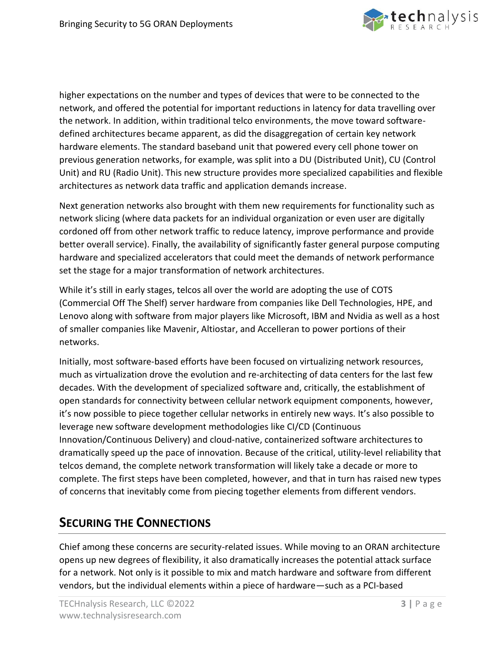

higher expectations on the number and types of devices that were to be connected to the network, and offered the potential for important reductions in latency for data travelling over the network. In addition, within traditional telco environments, the move toward softwaredefined architectures became apparent, as did the disaggregation of certain key network hardware elements. The standard baseband unit that powered every cell phone tower on previous generation networks, for example, was split into a DU (Distributed Unit), CU (Control Unit) and RU (Radio Unit). This new structure provides more specialized capabilities and flexible architectures as network data traffic and application demands increase.

Next generation networks also brought with them new requirements for functionality such as network slicing (where data packets for an individual organization or even user are digitally cordoned off from other network traffic to reduce latency, improve performance and provide better overall service). Finally, the availability of significantly faster general purpose computing hardware and specialized accelerators that could meet the demands of network performance set the stage for a major transformation of network architectures.

While it's still in early stages, telcos all over the world are adopting the use of COTS (Commercial Off The Shelf) server hardware from companies like Dell Technologies, HPE, and Lenovo along with software from major players like Microsoft, IBM and Nvidia as well as a host of smaller companies like Mavenir, Altiostar, and Accelleran to power portions of their networks.

Initially, most software-based efforts have been focused on virtualizing network resources, much as virtualization drove the evolution and re-architecting of data centers for the last few decades. With the development of specialized software and, critically, the establishment of open standards for connectivity between cellular network equipment components, however, it's now possible to piece together cellular networks in entirely new ways. It's also possible to leverage new software development methodologies like CI/CD (Continuous Innovation/Continuous Delivery) and cloud-native, containerized software architectures to dramatically speed up the pace of innovation. Because of the critical, utility-level reliability that telcos demand, the complete network transformation will likely take a decade or more to complete. The first steps have been completed, however, and that in turn has raised new types of concerns that inevitably come from piecing together elements from different vendors.

# **SECURING THE CONNECTIONS**

Chief among these concerns are security-related issues. While moving to an ORAN architecture opens up new degrees of flexibility, it also dramatically increases the potential attack surface for a network. Not only is it possible to mix and match hardware and software from different vendors, but the individual elements within a piece of hardware—such as a PCI-based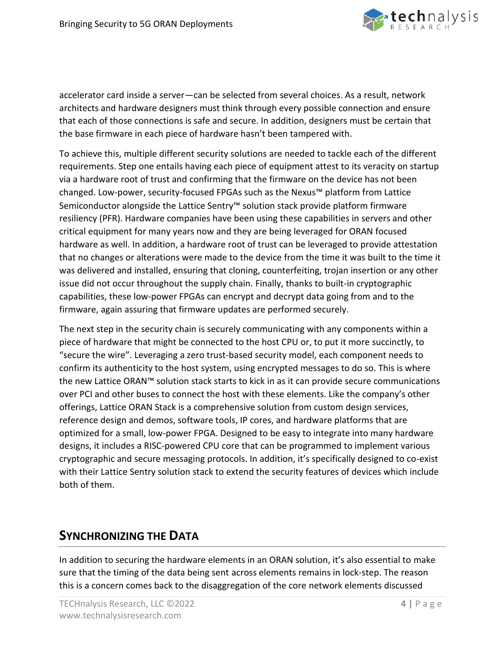

accelerator card inside a server—can be selected from several choices. As a result, network architects and hardware designers must think through every possible connection and ensure that each of those connections is safe and secure. In addition, designers must be certain that the base firmware in each piece of hardware hasn't been tampered with.

To achieve this, multiple different security solutions are needed to tackle each of the different requirements. Step one entails having each piece of equipment attest to its veracity on startup via a hardware root of trust and confirming that the firmware on the device has not been changed. Low-power, security-focused FPGAs such as the Nexus™ platform from Lattice Semiconductor alongside the Lattice Sentry™ solution stack provide platform firmware resiliency (PFR). Hardware companies have been using these capabilities in servers and other critical equipment for many years now and they are being leveraged for ORAN focused hardware as well. In addition, a hardware root of trust can be leveraged to provide attestation that no changes or alterations were made to the device from the time it was built to the time it was delivered and installed, ensuring that cloning, counterfeiting, trojan insertion or any other issue did not occur throughout the supply chain. Finally, thanks to built-in cryptographic capabilities, these low-power FPGAs can encrypt and decrypt data going from and to the firmware, again assuring that firmware updates are performed securely.

The next step in the security chain is securely communicating with any components within a piece of hardware that might be connected to the host CPU or, to put it more succinctly, to "secure the wire". Leveraging a zero trust-based security model, each component needs to confirm its authenticity to the host system, using encrypted messages to do so. This is where the new Lattice ORAN™ solution stack starts to kick in as it can provide secure communications over PCI and other buses to connect the host with these elements. Like the company's other offerings, Lattice ORAN Stack is a comprehensive solution from custom design services, reference design and demos, software tools, IP cores, and hardware platforms that are optimized for a small, low-power FPGA. Designed to be easy to integrate into many hardware designs, it includes a RISC-powered CPU core that can be programmed to implement various cryptographic and secure messaging protocols. In addition, it's specifically designed to co-exist with their Lattice Sentry solution stack to extend the security features of devices which include both of them.

### **SYNCHRONIZING THE DATA**

In addition to securing the hardware elements in an ORAN solution, it's also essential to make sure that the timing of the data being sent across elements remains in lock-step. The reason this is a concern comes back to the disaggregation of the core network elements discussed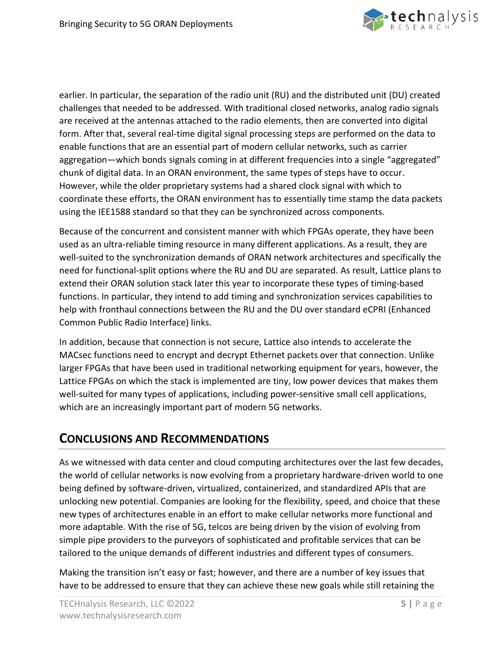

earlier. In particular, the separation of the radio unit (RU) and the distributed unit (DU) created challenges that needed to be addressed. With traditional closed networks, analog radio signals are received at the antennas attached to the radio elements, then are converted into digital form. After that, several real-time digital signal processing steps are performed on the data to enable functions that are an essential part of modern cellular networks, such as carrier aggregation—which bonds signals coming in at different frequencies into a single "aggregated" chunk of digital data. In an ORAN environment, the same types of steps have to occur. However, while the older proprietary systems had a shared clock signal with which to coordinate these efforts, the ORAN environment has to essentially time stamp the data packets using the IEE1588 standard so that they can be synchronized across components.

Because of the concurrent and consistent manner with which FPGAs operate, they have been used as an ultra-reliable timing resource in many different applications. As a result, they are well-suited to the synchronization demands of ORAN network architectures and specifically the need for functional-split options where the RU and DU are separated. As result, Lattice plans to extend their ORAN solution stack later this year to incorporate these types of timing-based functions. In particular, they intend to add timing and synchronization services capabilities to help with fronthaul connections between the RU and the DU over standard eCPRI (Enhanced Common Public Radio Interface) links.

In addition, because that connection is not secure, Lattice also intends to accelerate the MACsec functions need to encrypt and decrypt Ethernet packets over that connection. Unlike larger FPGAs that have been used in traditional networking equipment for years, however, the Lattice FPGAs on which the stack is implemented are tiny, low power devices that makes them well-suited for many types of applications, including power-sensitive small cell applications, which are an increasingly important part of modern 5G networks.

### **CONCLUSIONS AND RECOMMENDATIONS**

As we witnessed with data center and cloud computing architectures over the last few decades, the world of cellular networks is now evolving from a proprietary hardware-driven world to one being defined by software-driven, virtualized, containerized, and standardized APIs that are unlocking new potential. Companies are looking for the flexibility, speed, and choice that these new types of architectures enable in an effort to make cellular networks more functional and more adaptable. With the rise of 5G, telcos are being driven by the vision of evolving from simple pipe providers to the purveyors of sophisticated and profitable services that can be tailored to the unique demands of different industries and different types of consumers.

Making the transition isn't easy or fast; however, and there are a number of key issues that have to be addressed to ensure that they can achieve these new goals while still retaining the